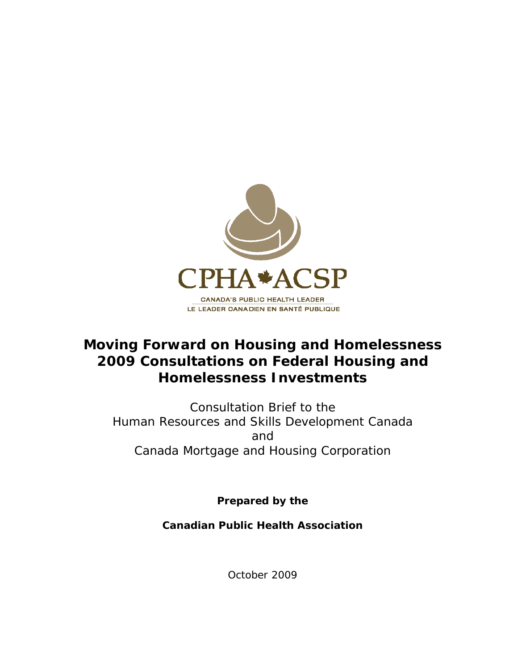

# **Moving Forward on Housing and Homelessness 2009 Consultations on Federal Housing and Homelessness Investments**

Consultation Brief to the Human Resources and Skills Development Canada and Canada Mortgage and Housing Corporation

**Prepared by the** 

**Canadian Public Health Association** 

October 2009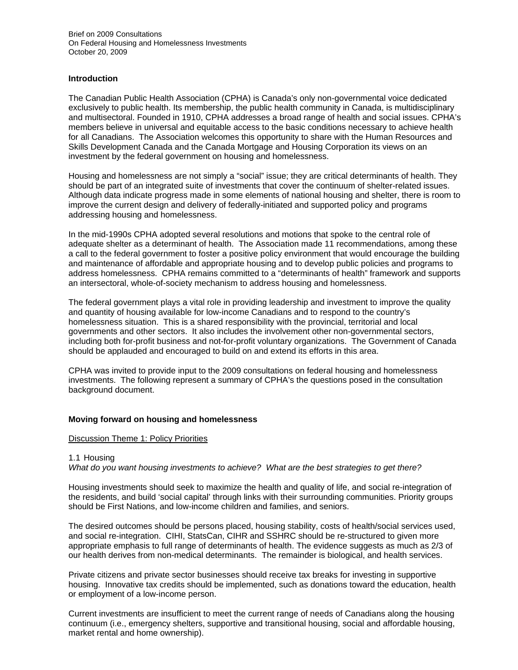# **Introduction**

The Canadian Public Health Association (CPHA) is Canada's only non-governmental voice dedicated exclusively to public health. Its membership, the public health community in Canada, is multidisciplinary and multisectoral. Founded in 1910, CPHA addresses a broad range of health and social issues. CPHA's members believe in universal and equitable access to the basic conditions necessary to achieve health for all Canadians. The Association welcomes this opportunity to share with the Human Resources and Skills Development Canada and the Canada Mortgage and Housing Corporation its views on an investment by the federal government on housing and homelessness.

Housing and homelessness are not simply a "social" issue; they are critical determinants of health. They should be part of an integrated suite of investments that cover the continuum of shelter-related issues. Although data indicate progress made in some elements of national housing and shelter, there is room to improve the current design and delivery of federally-initiated and supported policy and programs addressing housing and homelessness.

In the mid-1990s CPHA adopted several resolutions and motions that spoke to the central role of adequate shelter as a determinant of health. The Association made 11 recommendations, among these a call to the federal government to foster a positive policy environment that would encourage the building and maintenance of affordable and appropriate housing and to develop public policies and programs to address homelessness. CPHA remains committed to a "determinants of health" framework and supports an intersectoral, whole-of-society mechanism to address housing and homelessness.

The federal government plays a vital role in providing leadership and investment to improve the quality and quantity of housing available for low-income Canadians and to respond to the country's homelessness situation. This is a shared responsibility with the provincial, territorial and local governments and other sectors. It also includes the involvement other non-governmental sectors, including both for-profit business and not-for-profit voluntary organizations. The Government of Canada should be applauded and encouraged to build on and extend its efforts in this area.

CPHA was invited to provide input to the 2009 consultations on federal housing and homelessness investments. The following represent a summary of CPHA's the questions posed in the consultation background document.

## **Moving forward on housing and homelessness**

#### Discussion Theme 1: Policy Priorities

## 1.1 Housing

*What do you want housing investments to achieve? What are the best strategies to get there?* 

Housing investments should seek to maximize the health and quality of life, and social re-integration of the residents, and build 'social capital' through links with their surrounding communities. Priority groups should be First Nations, and low-income children and families, and seniors.

The desired outcomes should be persons placed, housing stability, costs of health/social services used, and social re-integration. CIHI, StatsCan, CIHR and SSHRC should be re-structured to given more appropriate emphasis to full range of determinants of health. The evidence suggests as much as 2/3 of our health derives from non-medical determinants. The remainder is biological, and health services.

Private citizens and private sector businesses should receive tax breaks for investing in supportive housing. Innovative tax credits should be implemented, such as donations toward the education, health or employment of a low-income person.

Current investments are insufficient to meet the current range of needs of Canadians along the housing continuum (i.e., emergency shelters, supportive and transitional housing, social and affordable housing, market rental and home ownership).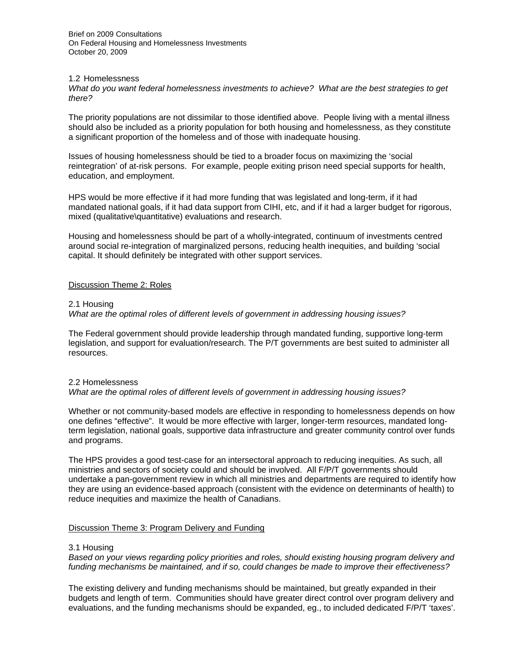Brief on 2009 Consultations On Federal Housing and Homelessness Investments October 20, 2009

### 1.2 Homelessness

*What do you want federal homelessness investments to achieve? What are the best strategies to get there?* 

The priority populations are not dissimilar to those identified above. People living with a mental illness should also be included as a priority population for both housing and homelessness, as they constitute a significant proportion of the homeless and of those with inadequate housing.

Issues of housing homelessness should be tied to a broader focus on maximizing the 'social reintegration' of at-risk persons. For example, people exiting prison need special supports for health, education, and employment.

HPS would be more effective if it had more funding that was legislated and long-term, if it had mandated national goals, if it had data support from CIHI, etc, and if it had a larger budget for rigorous, mixed (qualitative\quantitative) evaluations and research.

Housing and homelessness should be part of a wholly-integrated, continuum of investments centred around social re-integration of marginalized persons, reducing health inequities, and building 'social capital. It should definitely be integrated with other support services.

# Discussion Theme 2: Roles

## 2.1 Housing

## *What are the optimal roles of different levels of government in addressing housing issues?*

The Federal government should provide leadership through mandated funding, supportive long-term legislation, and support for evaluation/research. The P/T governments are best suited to administer all resources.

#### 2.2 Homelessness

*What are the optimal roles of different levels of government in addressing housing issues?* 

Whether or not community-based models are effective in responding to homelessness depends on how one defines "effective". It would be more effective with larger, longer-term resources, mandated longterm legislation, national goals, supportive data infrastructure and greater community control over funds and programs.

The HPS provides a good test-case for an intersectoral approach to reducing inequities. As such, all ministries and sectors of society could and should be involved. All F/P/T governments should undertake a pan-government review in which all ministries and departments are required to identify how they are using an evidence-based approach (consistent with the evidence on determinants of health) to reduce inequities and maximize the health of Canadians.

## Discussion Theme 3: Program Delivery and Funding

#### 3.1 Housing

*Based on your views regarding policy priorities and roles, should existing housing program delivery and funding mechanisms be maintained, and if so, could changes be made to improve their effectiveness?* 

The existing delivery and funding mechanisms should be maintained, but greatly expanded in their budgets and length of term. Communities should have greater direct control over program delivery and evaluations, and the funding mechanisms should be expanded, eg., to included dedicated F/P/T 'taxes'.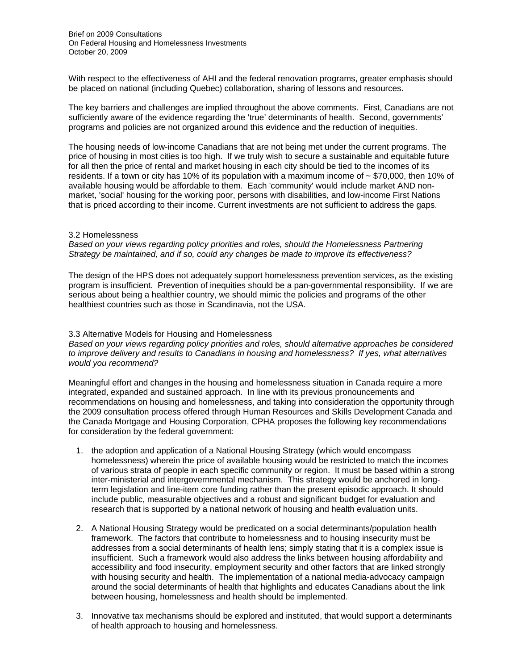With respect to the effectiveness of AHI and the federal renovation programs, greater emphasis should be placed on national (including Quebec) collaboration, sharing of lessons and resources.

The key barriers and challenges are implied throughout the above comments. First, Canadians are not sufficiently aware of the evidence regarding the 'true' determinants of health. Second, governments' programs and policies are not organized around this evidence and the reduction of inequities.

The housing needs of low-income Canadians that are not being met under the current programs. The price of housing in most cities is too high. If we truly wish to secure a sustainable and equitable future for all then the price of rental and market housing in each city should be tied to the incomes of its residents. If a town or city has 10% of its population with a maximum income of  $\sim$  \$70,000, then 10% of available housing would be affordable to them. Each 'community' would include market AND nonmarket, 'social' housing for the working poor, persons with disabilities, and low-income First Nations that is priced according to their income. Current investments are not sufficient to address the gaps.

## 3.2 Homelessness

*Based on your views regarding policy priorities and roles, should the Homelessness Partnering Strategy be maintained, and if so, could any changes be made to improve its effectiveness?* 

The design of the HPS does not adequately support homelessness prevention services, as the existing program is insufficient. Prevention of inequities should be a pan-governmental responsibility. If we are serious about being a healthier country, we should mimic the policies and programs of the other healthiest countries such as those in Scandinavia, not the USA.

### 3.3 Alternative Models for Housing and Homelessness

*Based on your views regarding policy priorities and roles, should alternative approaches be considered to improve delivery and results to Canadians in housing and homelessness? If yes, what alternatives would you recommend?* 

Meaningful effort and changes in the housing and homelessness situation in Canada require a more integrated, expanded and sustained approach. In line with its previous pronouncements and recommendations on housing and homelessness, and taking into consideration the opportunity through the 2009 consultation process offered through Human Resources and Skills Development Canada and the Canada Mortgage and Housing Corporation, CPHA proposes the following key recommendations for consideration by the federal government:

- 1. the adoption and application of a National Housing Strategy (which would encompass homelessness) wherein the price of available housing would be restricted to match the incomes of various strata of people in each specific community or region. It must be based within a strong inter-ministerial and intergovernmental mechanism. This strategy would be anchored in longterm legislation and line-item core funding rather than the present episodic approach. It should include public, measurable objectives and a robust and significant budget for evaluation and research that is supported by a national network of housing and health evaluation units.
- 2. A National Housing Strategy would be predicated on a social determinants/population health framework. The factors that contribute to homelessness and to housing insecurity must be addresses from a social determinants of health lens; simply stating that it is a complex issue is insufficient. Such a framework would also address the links between housing affordability and accessibility and food insecurity, employment security and other factors that are linked strongly with housing security and health. The implementation of a national media-advocacy campaign around the social determinants of health that highlights and educates Canadians about the link between housing, homelessness and health should be implemented.
- 3. Innovative tax mechanisms should be explored and instituted, that would support a determinants of health approach to housing and homelessness.